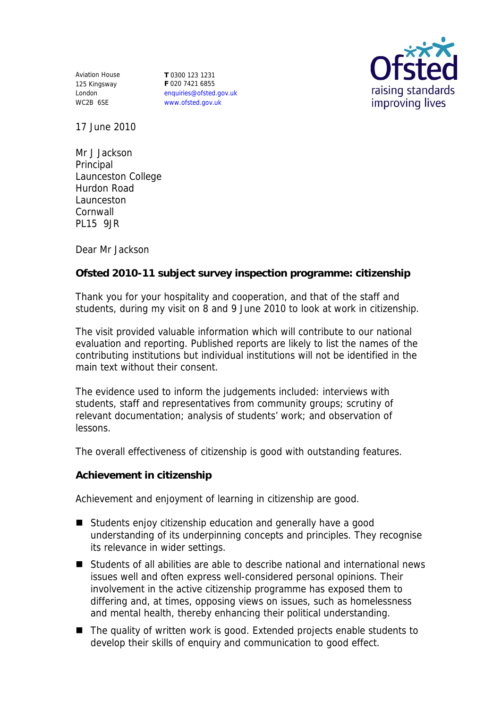Aviation House 125 Kingsway London WC2B 6SE

**T** 0300 123 1231 **F** 020 7421 6855 enquiries@ofsted.gov.uk www.ofsted.gov.uk



17 June 2010

Mr J Jackson **Principal** Launceston College Hurdon Road Launceston Cornwall PL15 9JR

Dear Mr Jackson

**Ofsted 2010-11 subject survey inspection programme: citizenship**

Thank you for your hospitality and cooperation, and that of the staff and students, during my visit on 8 and 9 June 2010 to look at work in citizenship.

The visit provided valuable information which will contribute to our national evaluation and reporting. Published reports are likely to list the names of the contributing institutions but individual institutions will not be identified in the main text without their consent.

The evidence used to inform the judgements included: interviews with students, staff and representatives from community groups; scrutiny of relevant documentation; analysis of students' work; and observation of lessons.

The overall effectiveness of citizenship is good with outstanding features.

**Achievement in citizenship**

Achievement and enjoyment of learning in citizenship are good.

- Students enjoy citizenship education and generally have a good understanding of its underpinning concepts and principles. They recognise its relevance in wider settings.
- Students of all abilities are able to describe national and international news issues well and often express well-considered personal opinions. Their involvement in the active citizenship programme has exposed them to differing and, at times, opposing views on issues, such as homelessness and mental health, thereby enhancing their political understanding.
- The quality of written work is good. Extended projects enable students to develop their skills of enquiry and communication to good effect.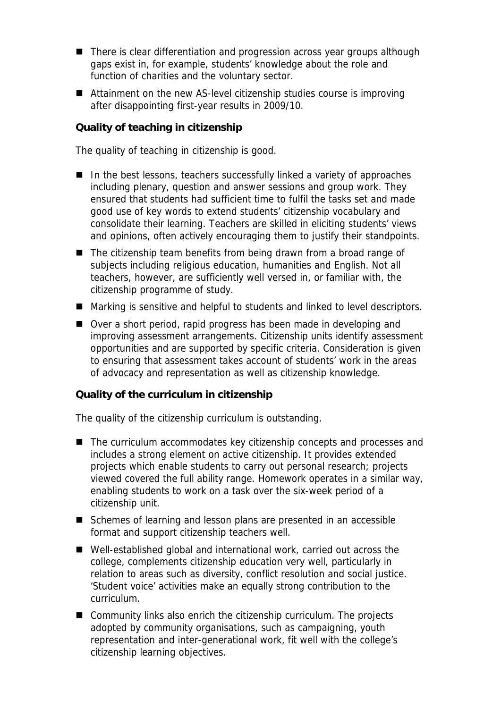- There is clear differentiation and progression across year groups although gaps exist in, for example, students' knowledge about the role and function of charities and the voluntary sector.
- Attainment on the new AS-level citizenship studies course is improving after disappointing first-year results in 2009/10.

**Quality of teaching in citizenship**

The quality of teaching in citizenship is good.

- $\blacksquare$  In the best lessons, teachers successfully linked a variety of approaches including plenary, question and answer sessions and group work. They ensured that students had sufficient time to fulfil the tasks set and made good use of key words to extend students' citizenship vocabulary and consolidate their learning. Teachers are skilled in eliciting students' views and opinions, often actively encouraging them to justify their standpoints.
- The citizenship team benefits from being drawn from a broad range of subjects including religious education, humanities and English. Not all teachers, however, are sufficiently well versed in, or familiar with, the citizenship programme of study.
- Marking is sensitive and helpful to students and linked to level descriptors.
- Over a short period, rapid progress has been made in developing and improving assessment arrangements. Citizenship units identify assessment opportunities and are supported by specific criteria. Consideration is given to ensuring that assessment takes account of students' work in the areas of advocacy and representation as well as citizenship knowledge.

## **Quality of the curriculum in citizenship**

The quality of the citizenship curriculum is outstanding.

- The curriculum accommodates key citizenship concepts and processes and includes a strong element on active citizenship. It provides extended projects which enable students to carry out personal research; projects viewed covered the full ability range. Homework operates in a similar way, enabling students to work on a task over the six-week period of a citizenship unit.
- Schemes of learning and lesson plans are presented in an accessible format and support citizenship teachers well.
- Well-established global and international work, carried out across the college, complements citizenship education very well, particularly in relation to areas such as diversity, conflict resolution and social justice. 'Student voice' activities make an equally strong contribution to the curriculum.
- Community links also enrich the citizenship curriculum. The projects adopted by community organisations, such as campaigning, youth representation and inter-generational work, fit well with the college's citizenship learning objectives.